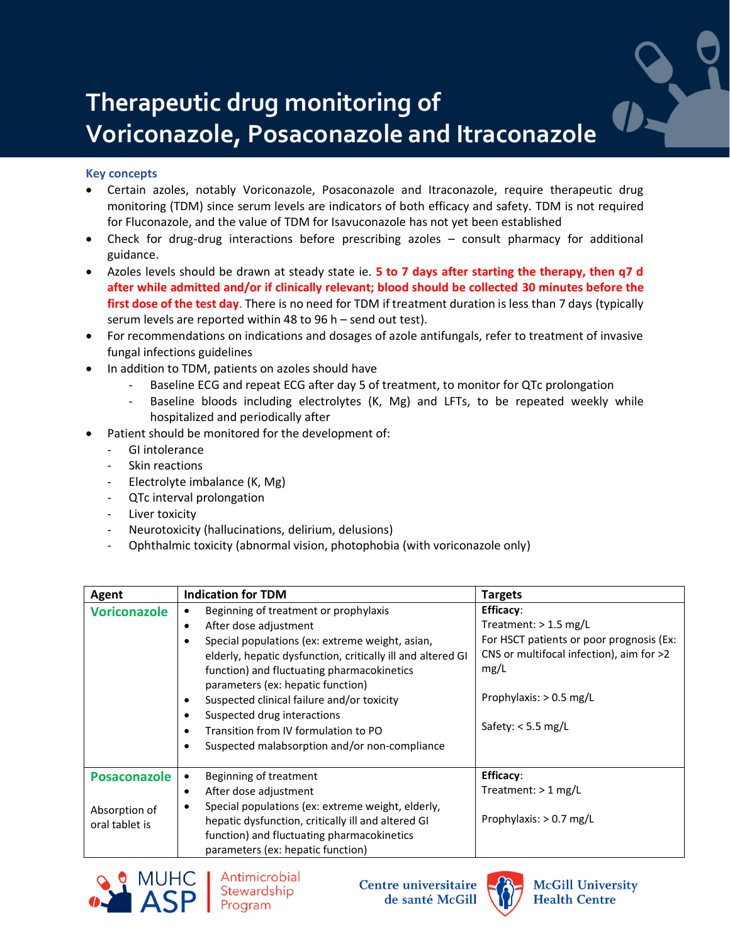## **Therapeutic drug monitoring of Voriconazole, Posaconazole and Itraconazole**

## **Key concepts**

- Certain azoles, notably Voriconazole, Posaconazole and Itraconazole, require therapeutic drug monitoring (TDM) since serum levels are indicators of both efficacy and safety. TDM is not required for Fluconazole, and the value of TDM for Isavuconazole has not yet been established
- Check for drug-drug interactions before prescribing azoles consult pharmacy for additional guidance.
- Azoles levels should be drawn at steady state ie. **5 to 7 days after starting the therapy, then q7 d after while admitted and/or if clinically relevant; blood should be collected 30 minutes before the first dose of the test day**. There is no need for TDM if treatment duration is less than 7 days (typically serum levels are reported within 48 to 96 h – send out test).
- For recommendations on indications and dosages of azole antifungals, refer to treatment of invasive fungal infections guidelines
- In addition to TDM, patients on azoles should have
	- Baseline ECG and repeat ECG after day 5 of treatment, to monitor for QTc prolongation
	- Baseline bloods including electrolytes (K, Mg) and LFTs, to be repeated weekly while hospitalized and periodically after
- Patient should be monitored for the development of:
	- GI intolerance
	- Skin reactions
	- Electrolyte imbalance (K, Mg)
	- QTc interval prolongation
	- Liver toxicity
	- Neurotoxicity (hallucinations, delirium, delusions)
	- Ophthalmic toxicity (abnormal vision, photophobia (with voriconazole only)

| Agent                           | <b>Indication for TDM</b>                                                                                                                                                                                                                                                                                                                                                                                                                              | <b>Targets</b>                                                                                                                                                                                   |
|---------------------------------|--------------------------------------------------------------------------------------------------------------------------------------------------------------------------------------------------------------------------------------------------------------------------------------------------------------------------------------------------------------------------------------------------------------------------------------------------------|--------------------------------------------------------------------------------------------------------------------------------------------------------------------------------------------------|
| <b>Voriconazole</b>             | Beginning of treatment or prophylaxis<br>After dose adjustment<br>$\bullet$<br>Special populations (ex: extreme weight, asian,<br>elderly, hepatic dysfunction, critically ill and altered GI<br>function) and fluctuating pharmacokinetics<br>parameters (ex: hepatic function)<br>Suspected clinical failure and/or toxicity<br>Suspected drug interactions<br>Transition from IV formulation to PO<br>Suspected malabsorption and/or non-compliance | <b>Efficacy:</b><br>Treatment: $> 1.5$ mg/L<br>For HSCT patients or poor prognosis (Ex:<br>CNS or multifocal infection), aim for >2<br>mg/L<br>Prophylaxis: $> 0.5$ mg/L<br>Safety: $<$ 5.5 mg/L |
| <b>Posaconazole</b>             | Beginning of treatment<br>After dose adjustment                                                                                                                                                                                                                                                                                                                                                                                                        | <b>Efficacy:</b><br>Treatment: $> 1$ mg/L                                                                                                                                                        |
| Absorption of<br>oral tablet is | Special populations (ex: extreme weight, elderly,<br>hepatic dysfunction, critically ill and altered GI<br>function) and fluctuating pharmacokinetics<br>parameters (ex: hepatic function)                                                                                                                                                                                                                                                             | Prophylaxis: $> 0.7$ mg/L                                                                                                                                                                        |



**Centre universitaire** de santé McGill



**McGill University Health Centre** 

 $\bullet$